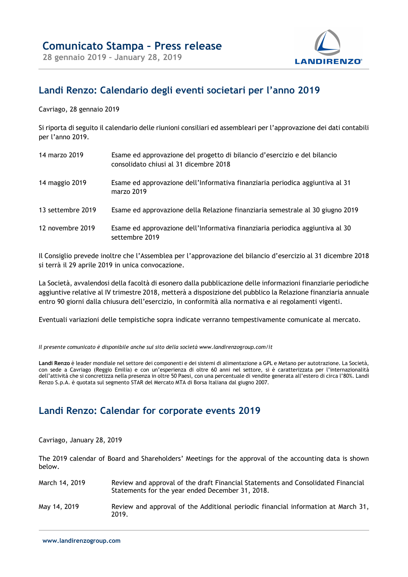

## Landi Renzo: Calendario degli eventi societari per l'anno 2019

Cavriago, 28 gennaio 2019

Si riporta di seguito il calendario delle riunioni consiliari ed assembleari per l'approvazione dei dati contabili per l'anno 2019.

| 14 marzo 2019     | Esame ed approvazione del progetto di bilancio d'esercizio e del bilancio<br>consolidato chiusi al 31 dicembre 2018 |
|-------------------|---------------------------------------------------------------------------------------------------------------------|
| 14 maggio 2019    | Esame ed approvazione dell'Informativa finanziaria periodica aggiuntiva al 31<br>marzo 2019                         |
| 13 settembre 2019 | Esame ed approvazione della Relazione finanziaria semestrale al 30 giugno 2019                                      |
| 12 novembre 2019  | Esame ed approvazione dell'Informativa finanziaria periodica aggiuntiva al 30<br>settembre 2019                     |

Il Consiglio prevede inoltre che l'Assemblea per l'approvazione del bilancio d'esercizio al 31 dicembre 2018 si terrà il 29 aprile 2019 in unica convocazione.

La Società, avvalendosi della facoltà di esonero dalla pubblicazione delle informazioni finanziarie periodiche aggiuntive relative al IV trimestre 2018, metterà a disposizione del pubblico la Relazione finanziaria annuale entro 90 giorni dalla chiusura dell'esercizio, in conformità alla normativa e ai regolamenti vigenti.

Eventuali variazioni delle tempistiche sopra indicate verranno tempestivamente comunicate al mercato.

Il presente comunicato è disponibile anche sul sito della società www.landirenzogroup.com/it

Landi Renzo è leader mondiale nel settore dei componenti e dei sistemi di alimentazione a GPL e Metano per autotrazione. La Società, con sede a Cavriago (Reggio Emilia) e con un'esperienza di oltre 60 anni nel settore, si è caratterizzata per l'internazionalità dell'attività che si concretizza nella presenza in oltre 50 Paesi, con una percentuale di vendite generata all'estero di circa l'80%. Landi Renzo S.p.A. è quotata sul segmento STAR del Mercato MTA di Borsa Italiana dal giugno 2007.

## Landi Renzo: Calendar for corporate events 2019

Cavriago, January 28, 2019

The 2019 calendar of Board and Shareholders' Meetings for the approval of the accounting data is shown below.

| March 14, 2019 | Review and approval of the draft Financial Statements and Consolidated Financial<br>Statements for the year ended December 31, 2018. |
|----------------|--------------------------------------------------------------------------------------------------------------------------------------|
| May 14, 2019   | Review and approval of the Additional periodic financial information at March 31,<br>2019.                                           |